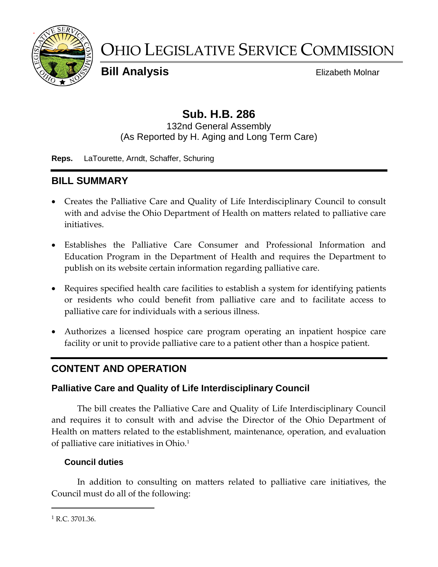

# OHIO LEGISLATIVE SERVICE COMMISSION

**Bill Analysis** Elizabeth Molnar

# **Sub. H.B. 286**

132nd General Assembly (As Reported by H. Aging and Long Term Care)

**Reps.** LaTourette, Arndt, Schaffer, Schuring

# **BILL SUMMARY**

- Creates the Palliative Care and Quality of Life Interdisciplinary Council to consult with and advise the Ohio Department of Health on matters related to palliative care initiatives.
- Establishes the Palliative Care Consumer and Professional Information and Education Program in the Department of Health and requires the Department to publish on its website certain information regarding palliative care.
- Requires specified health care facilities to establish a system for identifying patients or residents who could benefit from palliative care and to facilitate access to palliative care for individuals with a serious illness.
- Authorizes a licensed hospice care program operating an inpatient hospice care facility or unit to provide palliative care to a patient other than a hospice patient.

# **CONTENT AND OPERATION**

#### **Palliative Care and Quality of Life Interdisciplinary Council**

The bill creates the Palliative Care and Quality of Life Interdisciplinary Council and requires it to consult with and advise the Director of the Ohio Department of Health on matters related to the establishment, maintenance, operation, and evaluation of palliative care initiatives in Ohio.<sup>1</sup>

#### **Council duties**

In addition to consulting on matters related to palliative care initiatives, the Council must do all of the following:

<sup>1</sup> R.C. 3701.36.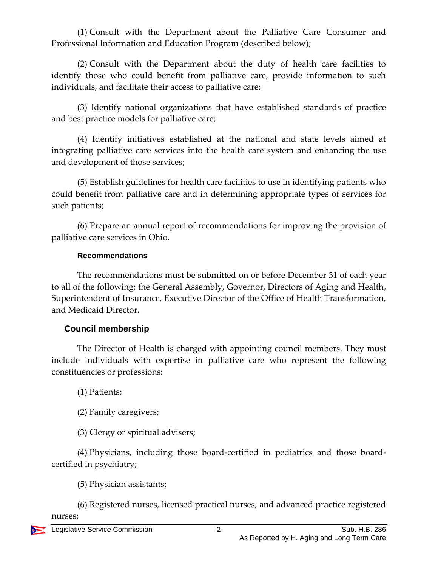(1) Consult with the Department about the Palliative Care Consumer and Professional Information and Education Program (described below);

(2) Consult with the Department about the duty of health care facilities to identify those who could benefit from palliative care, provide information to such individuals, and facilitate their access to palliative care;

(3) Identify national organizations that have established standards of practice and best practice models for palliative care;

(4) Identify initiatives established at the national and state levels aimed at integrating palliative care services into the health care system and enhancing the use and development of those services;

(5) Establish guidelines for health care facilities to use in identifying patients who could benefit from palliative care and in determining appropriate types of services for such patients;

(6) Prepare an annual report of recommendations for improving the provision of palliative care services in Ohio.

#### **Recommendations**

The recommendations must be submitted on or before December 31 of each year to all of the following: the General Assembly, Governor, Directors of Aging and Health, Superintendent of Insurance, Executive Director of the Office of Health Transformation, and Medicaid Director.

#### **Council membership**

The Director of Health is charged with appointing council members. They must include individuals with expertise in palliative care who represent the following constituencies or professions:

(1) Patients;

(2) Family caregivers;

(3) Clergy or spiritual advisers;

(4) Physicians, including those board-certified in pediatrics and those boardcertified in psychiatry;

(5) Physician assistants;

(6) Registered nurses, licensed practical nurses, and advanced practice registered nurses;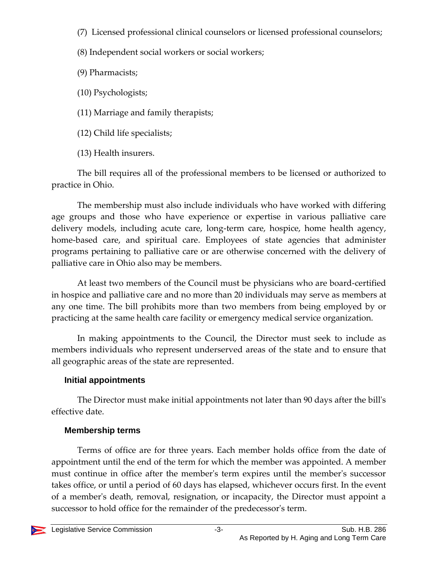- (7) Licensed professional clinical counselors or licensed professional counselors;
- (8) Independent social workers or social workers;
- (9) Pharmacists;
- (10) Psychologists;
- (11) Marriage and family therapists;
- (12) Child life specialists;
- (13) Health insurers.

The bill requires all of the professional members to be licensed or authorized to practice in Ohio.

The membership must also include individuals who have worked with differing age groups and those who have experience or expertise in various palliative care delivery models, including acute care, long-term care, hospice, home health agency, home-based care, and spiritual care. Employees of state agencies that administer programs pertaining to palliative care or are otherwise concerned with the delivery of palliative care in Ohio also may be members.

At least two members of the Council must be physicians who are board-certified in hospice and palliative care and no more than 20 individuals may serve as members at any one time. The bill prohibits more than two members from being employed by or practicing at the same health care facility or emergency medical service organization.

In making appointments to the Council, the Director must seek to include as members individuals who represent underserved areas of the state and to ensure that all geographic areas of the state are represented.

# **Initial appointments**

The Director must make initial appointments not later than 90 days after the bill's effective date.

# **Membership terms**

Terms of office are for three years. Each member holds office from the date of appointment until the end of the term for which the member was appointed. A member must continue in office after the member's term expires until the member's successor takes office, or until a period of 60 days has elapsed, whichever occurs first. In the event of a member's death, removal, resignation, or incapacity, the Director must appoint a successor to hold office for the remainder of the predecessor's term.

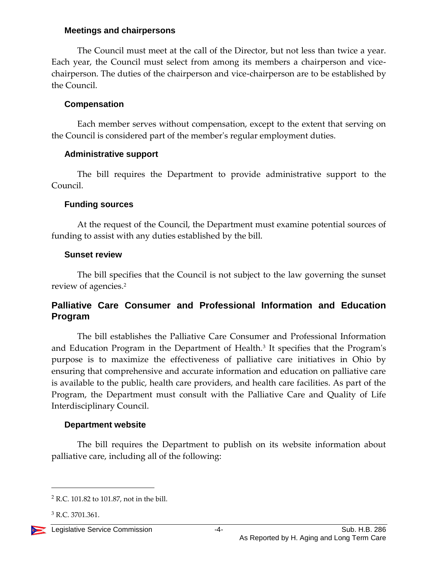#### **Meetings and chairpersons**

The Council must meet at the call of the Director, but not less than twice a year. Each year, the Council must select from among its members a chairperson and vicechairperson. The duties of the chairperson and vice-chairperson are to be established by the Council.

#### **Compensation**

Each member serves without compensation, except to the extent that serving on the Council is considered part of the member's regular employment duties.

#### **Administrative support**

The bill requires the Department to provide administrative support to the Council.

#### **Funding sources**

At the request of the Council, the Department must examine potential sources of funding to assist with any duties established by the bill.

#### **Sunset review**

The bill specifies that the Council is not subject to the law governing the sunset review of agencies.<sup>2</sup>

#### **Palliative Care Consumer and Professional Information and Education Program**

The bill establishes the Palliative Care Consumer and Professional Information and Education Program in the Department of Health.<sup>3</sup> It specifies that the Program's purpose is to maximize the effectiveness of palliative care initiatives in Ohio by ensuring that comprehensive and accurate information and education on palliative care is available to the public, health care providers, and health care facilities. As part of the Program, the Department must consult with the Palliative Care and Quality of Life Interdisciplinary Council.

#### **Department website**

The bill requires the Department to publish on its website information about palliative care, including all of the following:

<sup>3</sup> R.C. 3701.361.



 $2$  R.C. 101.82 to 101.87, not in the bill.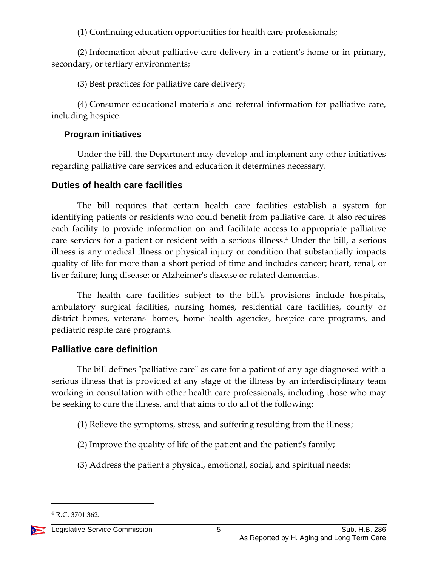(1) Continuing education opportunities for health care professionals;

(2) Information about palliative care delivery in a patient's home or in primary, secondary, or tertiary environments;

(3) Best practices for palliative care delivery;

(4) Consumer educational materials and referral information for palliative care, including hospice.

#### **Program initiatives**

Under the bill, the Department may develop and implement any other initiatives regarding palliative care services and education it determines necessary.

#### **Duties of health care facilities**

The bill requires that certain health care facilities establish a system for identifying patients or residents who could benefit from palliative care. It also requires each facility to provide information on and facilitate access to appropriate palliative care services for a patient or resident with a serious illness.<sup>4</sup> Under the bill, a serious illness is any medical illness or physical injury or condition that substantially impacts quality of life for more than a short period of time and includes cancer; heart, renal, or liver failure; lung disease; or Alzheimer's disease or related dementias.

The health care facilities subject to the bill's provisions include hospitals, ambulatory surgical facilities, nursing homes, residential care facilities, county or district homes, veterans' homes, home health agencies, hospice care programs, and pediatric respite care programs.

## **Palliative care definition**

The bill defines "palliative care" as care for a patient of any age diagnosed with a serious illness that is provided at any stage of the illness by an interdisciplinary team working in consultation with other health care professionals, including those who may be seeking to cure the illness, and that aims to do all of the following:

- (1) Relieve the symptoms, stress, and suffering resulting from the illness;
- (2) Improve the quality of life of the patient and the patient's family;
- (3) Address the patient's physical, emotional, social, and spiritual needs;

<sup>4</sup> R.C. 3701.362.